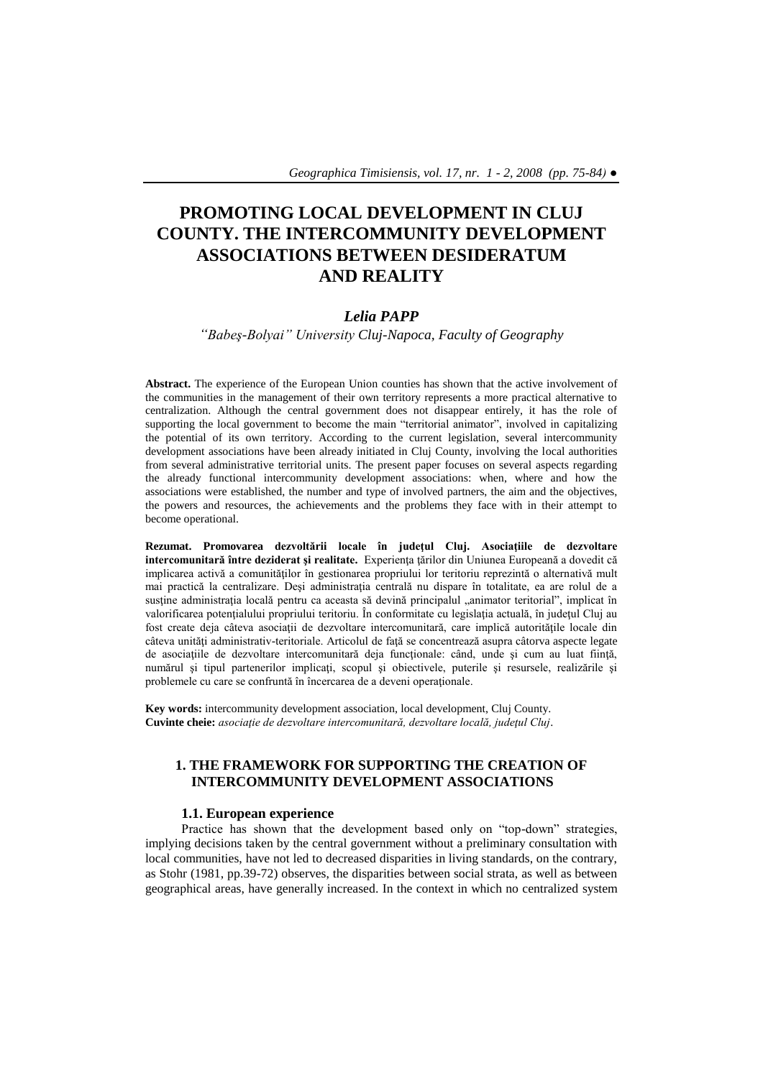# **PROMOTING LOCAL DEVELOPMENT IN CLUJ COUNTY. THE INTERCOMMUNITY DEVELOPMENT ASSOCIATIONS BETWEEN DESIDERATUM AND REALITY**

# *Lelia PAPP*

*"Babeş-Bolyai" University Cluj-Napoca, Faculty of Geography*

**Abstract.** The experience of the European Union counties has shown that the active involvement of the communities in the management of their own territory represents a more practical alternative to centralization. Although the central government does not disappear entirely, it has the role of supporting the local government to become the main "territorial animator", involved in capitalizing the potential of its own territory. According to the current legislation, several intercommunity development associations have been already initiated in Cluj County, involving the local authorities from several administrative territorial units. The present paper focuses on several aspects regarding the already functional intercommunity development associations: when, where and how the associations were established, the number and type of involved partners, the aim and the objectives, the powers and resources, the achievements and the problems they face with in their attempt to become operational.

**Rezumat. Promovarea dezvoltării locale în judeţul Cluj. Asociaţiile de dezvoltare intercomunitară între deziderat şi realitate.** Experienţa ţărilor din Uniunea Europeană a dovedit că implicarea activă a comunităţilor în gestionarea propriului lor teritoriu reprezintă o alternativă mult mai practică la centralizare. Desi administratia centrală nu dispare în totalitate, ea are rolul de a sustine administratia locală pentru ca aceasta să devină principalul "animator teritorial", implicat în valorificarea potențialului propriului teritoriu. În conformitate cu legislația actuală, în județul Cluj au fost create deja câteva asociaţii de dezvoltare intercomunitară, care implică autorităţile locale din câteva unităţi administrativ-teritoriale. Articolul de faţă se concentrează asupra câtorva aspecte legate de asociațiile de dezvoltare intercomunitară deja funcționale: când, unde și cum au luat ființă, numărul și tipul partenerilor implicați, scopul și obiectivele, puterile și resursele, realizările și problemele cu care se confruntă în încercarea de a deveni operaţionale.

**Key words:** intercommunity development association, local development, Cluj County. **Cuvinte cheie:** *asociaţie de dezvoltare intercomunitară, dezvoltare locală, judeţul Cluj*.

# **1. THE FRAMEWORK FOR SUPPORTING THE CREATION OF INTERCOMMUNITY DEVELOPMENT ASSOCIATIONS**

## **1.1. European experience**

Practice has shown that the development based only on "top-down" strategies, implying decisions taken by the central government without a preliminary consultation with local communities, have not led to decreased disparities in living standards, on the contrary, as Stohr (1981, pp.39-72) observes, the disparities between social strata, as well as between geographical areas, have generally increased. In the context in which no centralized system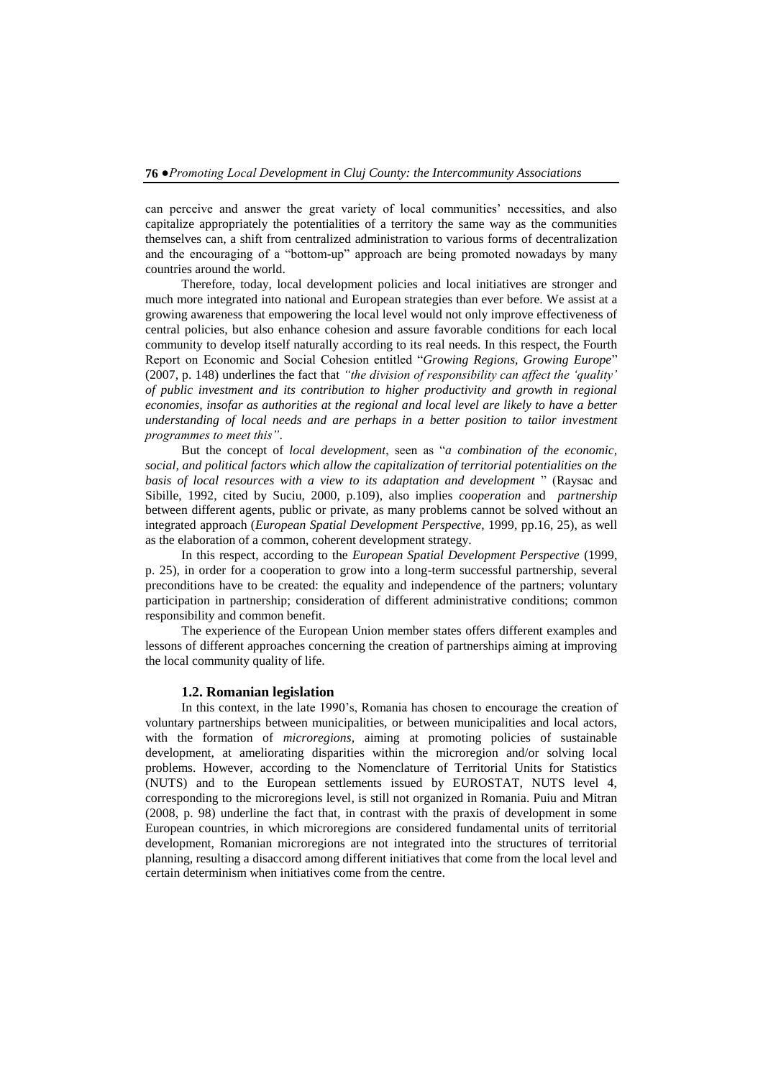can perceive and answer the great variety of local communities' necessities, and also capitalize appropriately the potentialities of a territory the same way as the communities themselves can, a shift from centralized administration to various forms of decentralization and the encouraging of a "bottom-up" approach are being promoted nowadays by many countries around the world.

Therefore, today, local development policies and local initiatives are stronger and much more integrated into national and European strategies than ever before. We assist at a growing awareness that empowering the local level would not only improve effectiveness of central policies, but also enhance cohesion and assure favorable conditions for each local community to develop itself naturally according to its real needs. In this respect, the Fourth Report on Economic and Social Cohesion entitled "*Growing Regions, Growing Europe*" (2007, p. 148) underlines the fact that *"the division of responsibility can affect the "quality" of public investment and its contribution to higher productivity and growth in regional economies, insofar as authorities at the regional and local level are likely to have a better understanding of local needs and are perhaps in a better position to tailor investment programmes to meet this"*.

But the concept of *local development*, seen as "*a combination of the economic, social, and political factors which allow the capitalization of territorial potentialities on the basis of local resources with a view to its adaptation and development* " (Raysac and Sibille, 1992, cited by Suciu, 2000, p.109), also implies *cooperation* and *partnership* between different agents, public or private, as many problems cannot be solved without an integrated approach (*European Spatial Development Perspective*, 1999, pp.16, 25), as well as the elaboration of a common, coherent development strategy.

In this respect, according to the *European Spatial Development Perspective* (1999, p. 25), in order for a cooperation to grow into a long-term successful partnership, several preconditions have to be created: the equality and independence of the partners; voluntary participation in partnership; consideration of different administrative conditions; common responsibility and common benefit.

The experience of the European Union member states offers different examples and lessons of different approaches concerning the creation of partnerships aiming at improving the local community quality of life.

#### **1.2. Romanian legislation**

In this context, in the late 1990's, Romania has chosen to encourage the creation of voluntary partnerships between municipalities, or between municipalities and local actors, with the formation of *microregions*, aiming at promoting policies of sustainable development, at ameliorating disparities within the microregion and/or solving local problems. However, according to the Nomenclature of Territorial Units for Statistics (NUTS) and to the European settlements issued by EUROSTAT, NUTS level 4, corresponding to the microregions level, is still not organized in Romania. Puiu and Mitran (2008, p. 98) underline the fact that, in contrast with the praxis of development in some European countries, in which microregions are considered fundamental units of territorial development, Romanian microregions are not integrated into the structures of territorial planning, resulting a disaccord among different initiatives that come from the local level and certain determinism when initiatives come from the centre.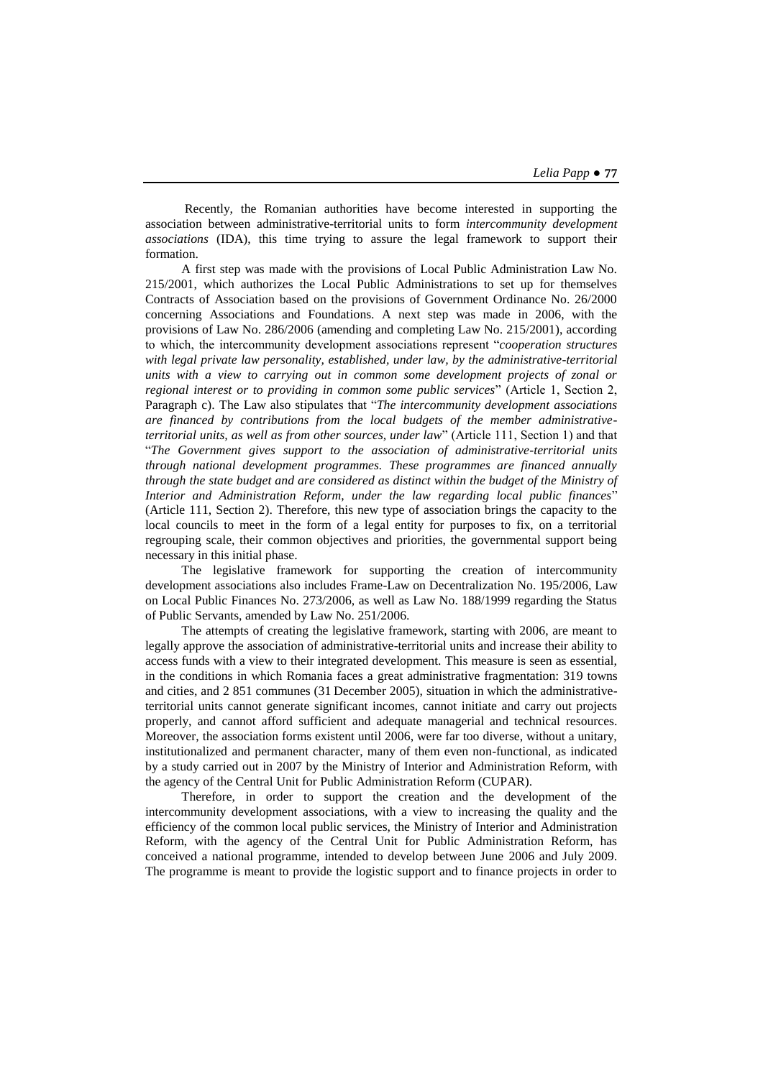Recently, the Romanian authorities have become interested in supporting the association between administrative-territorial units to form *intercommunity development associations* (IDA), this time trying to assure the legal framework to support their formation.

A first step was made with the provisions of Local Public Administration Law No. 215/2001, which authorizes the Local Public Administrations to set up for themselves Contracts of Association based on the provisions of Government Ordinance No. 26/2000 concerning Associations and Foundations. A next step was made in 2006, with the provisions of Law No. 286/2006 (amending and completing Law No. 215/2001), according to which, the intercommunity development associations represent "*cooperation structures with legal private law personality, established, under law, by the administrative-territorial units with a view to carrying out in common some development projects of zonal or regional interest or to providing in common some public services*" (Article 1, Section 2, Paragraph c). The Law also stipulates that "*The intercommunity development associations are financed by contributions from the local budgets of the member administrativeterritorial units, as well as from other sources, under law*" (Article 111, Section 1) and that "*The Government gives support to the association of administrative-territorial units through national development programmes. These programmes are financed annually through the state budget and are considered as distinct within the budget of the Ministry of Interior and Administration Reform*, *under the law regarding local public finances*" (Article 111, Section 2). Therefore, this new type of association brings the capacity to the local councils to meet in the form of a legal entity for purposes to fix, on a territorial regrouping scale, their common objectives and priorities, the governmental support being necessary in this initial phase.

The legislative framework for supporting the creation of intercommunity development associations also includes Frame-Law on Decentralization No. 195/2006, Law on Local Public Finances No. 273/2006, as well as Law No. 188/1999 regarding the Status of Public Servants, amended by Law No. 251/2006.

The attempts of creating the legislative framework, starting with 2006, are meant to legally approve the association of administrative-territorial units and increase their ability to access funds with a view to their integrated development. This measure is seen as essential, in the conditions in which Romania faces a great administrative fragmentation: 319 towns and cities, and 2 851 communes (31 December 2005), situation in which the administrativeterritorial units cannot generate significant incomes, cannot initiate and carry out projects properly, and cannot afford sufficient and adequate managerial and technical resources. Moreover, the association forms existent until 2006, were far too diverse, without a unitary, institutionalized and permanent character, many of them even non-functional, as indicated by a study carried out in 2007 by the Ministry of Interior and Administration Reform, with the agency of the Central Unit for Public Administration Reform (CUPAR).

Therefore, in order to support the creation and the development of the intercommunity development associations, with a view to increasing the quality and the efficiency of the common local public services, the Ministry of Interior and Administration Reform, with the agency of the Central Unit for Public Administration Reform, has conceived a national programme, intended to develop between June 2006 and July 2009. The programme is meant to provide the logistic support and to finance projects in order to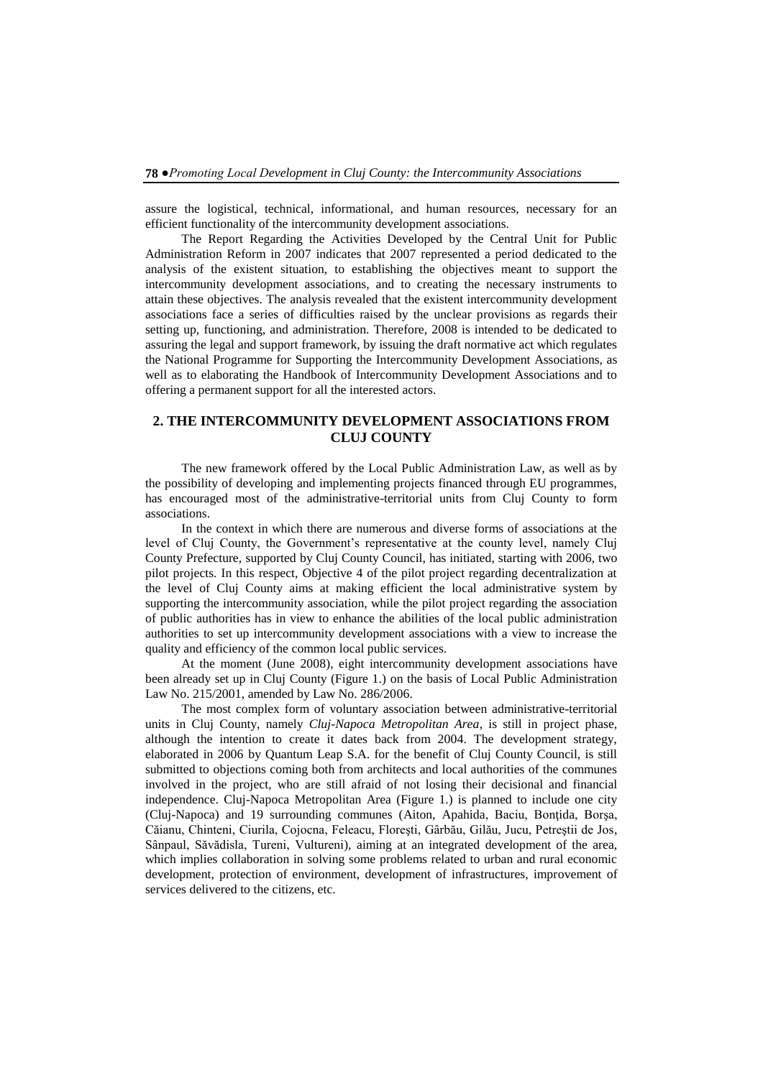assure the logistical, technical, informational, and human resources, necessary for an efficient functionality of the intercommunity development associations.

The Report Regarding the Activities Developed by the Central Unit for Public Administration Reform in 2007 indicates that 2007 represented a period dedicated to the analysis of the existent situation, to establishing the objectives meant to support the intercommunity development associations, and to creating the necessary instruments to attain these objectives. The analysis revealed that the existent intercommunity development associations face a series of difficulties raised by the unclear provisions as regards their setting up, functioning, and administration. Therefore, 2008 is intended to be dedicated to assuring the legal and support framework, by issuing the draft normative act which regulates the National Programme for Supporting the Intercommunity Development Associations, as well as to elaborating the Handbook of Intercommunity Development Associations and to offering a permanent support for all the interested actors.

# **2. THE INTERCOMMUNITY DEVELOPMENT ASSOCIATIONS FROM CLUJ COUNTY**

The new framework offered by the Local Public Administration Law, as well as by the possibility of developing and implementing projects financed through EU programmes, has encouraged most of the administrative-territorial units from Cluj County to form associations.

In the context in which there are numerous and diverse forms of associations at the level of Cluj County, the Government's representative at the county level, namely Cluj County Prefecture, supported by Cluj County Council, has initiated, starting with 2006, two pilot projects. In this respect, Objective 4 of the pilot project regarding decentralization at the level of Cluj County aims at making efficient the local administrative system by supporting the intercommunity association, while the pilot project regarding the association of public authorities has in view to enhance the abilities of the local public administration authorities to set up intercommunity development associations with a view to increase the quality and efficiency of the common local public services.

At the moment (June 2008), eight intercommunity development associations have been already set up in Cluj County (Figure 1.) on the basis of Local Public Administration Law No. 215/2001, amended by Law No. 286/2006.

The most complex form of voluntary association between administrative-territorial units in Cluj County, namely *Cluj-Napoca Metropolitan Area*, is still in project phase, although the intention to create it dates back from 2004. The development strategy, elaborated in 2006 by Quantum Leap S.A. for the benefit of Cluj County Council, is still submitted to objections coming both from architects and local authorities of the communes involved in the project, who are still afraid of not losing their decisional and financial independence. Cluj-Napoca Metropolitan Area (Figure 1.) is planned to include one city (Cluj-Napoca) and 19 surrounding communes (Aiton, Apahida, Baciu, Bonţida, Borşa, Căianu, Chinteni, Ciurila, Cojocna, Feleacu, Floreşti, Gârbău, Gilău, Jucu, Petreştii de Jos, Sânpaul, Săvădisla, Tureni, Vultureni), aiming at an integrated development of the area, which implies collaboration in solving some problems related to urban and rural economic development, protection of environment, development of infrastructures, improvement of services delivered to the citizens, etc.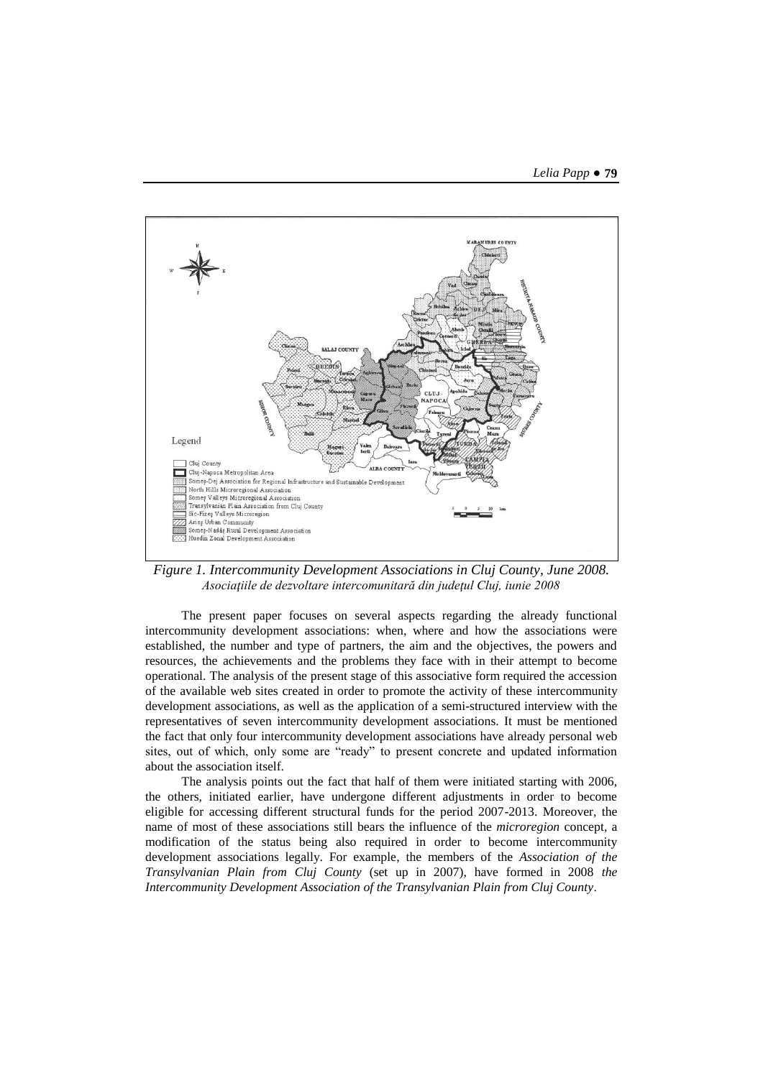

*Figure 1. Intercommunity Development Associations in Cluj County, June 2008. Asociaţiile de dezvoltare intercomunitară din judeţul Cluj, iunie 2008*

The present paper focuses on several aspects regarding the already functional intercommunity development associations: when, where and how the associations were established, the number and type of partners, the aim and the objectives, the powers and resources, the achievements and the problems they face with in their attempt to become operational. The analysis of the present stage of this associative form required the accession of the available web sites created in order to promote the activity of these intercommunity development associations, as well as the application of a semi-structured interview with the representatives of seven intercommunity development associations. It must be mentioned the fact that only four intercommunity development associations have already personal web sites, out of which, only some are "ready" to present concrete and updated information about the association itself.

The analysis points out the fact that half of them were initiated starting with 2006, the others, initiated earlier, have undergone different adjustments in order to become eligible for accessing different structural funds for the period 2007-2013. Moreover, the name of most of these associations still bears the influence of the *microregion* concept, a modification of the status being also required in order to become intercommunity development associations legally. For example*,* the members of the *Association of the Transylvanian Plain from Cluj County* (set up in 2007), have formed in 2008 *the Intercommunity Development Association of the Transylvanian Plain from Cluj County*.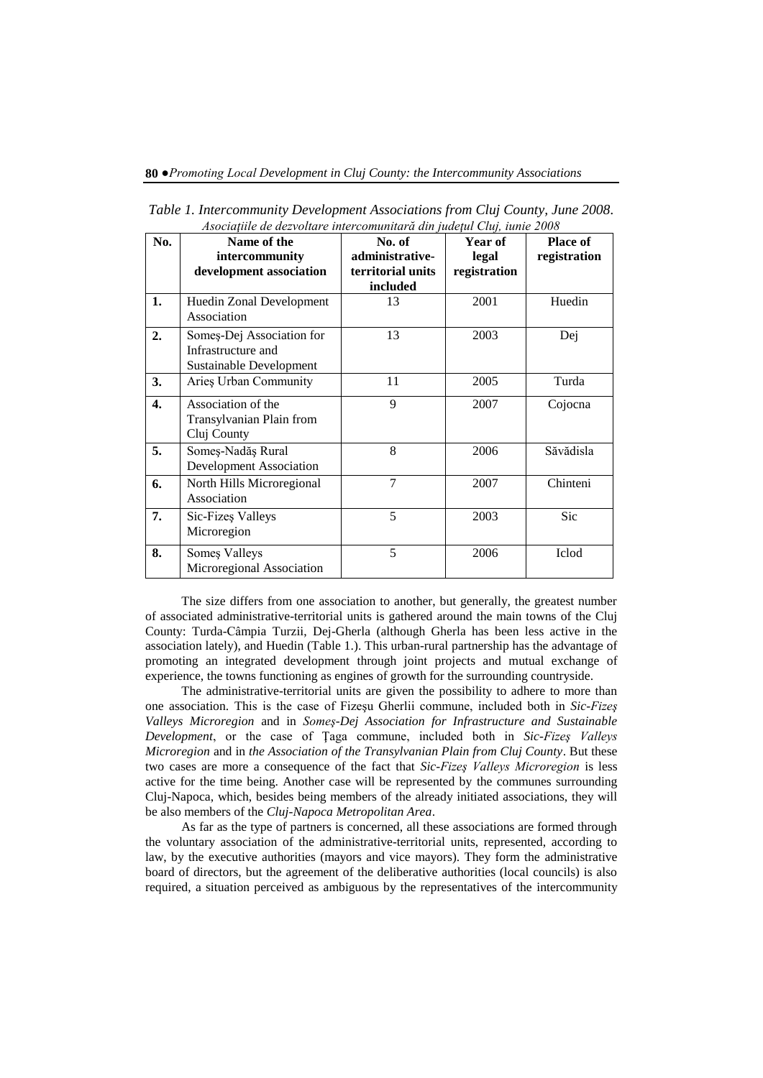| No. | Name of the                    | No. of            | Year of      | <b>Place of</b> |
|-----|--------------------------------|-------------------|--------------|-----------------|
|     | intercommunity                 | administrative-   | legal        | registration    |
|     | development association        | territorial units | registration |                 |
|     |                                | included          |              |                 |
| 1.  | Huedin Zonal Development       | 13                | 2001         | Huedin          |
|     | Association                    |                   |              |                 |
| 2.  | Someș-Dej Association for      | 13                | 2003         | Dej             |
|     | Infrastructure and             |                   |              |                 |
|     | Sustainable Development        |                   |              |                 |
| 3.  | Aries Urban Community          | 11                | 2005         | Turda           |
| 4.  | Association of the             | 9                 | 2007         | Cojocna         |
|     | Transylvanian Plain from       |                   |              |                 |
|     | Cluj County                    |                   |              |                 |
| 5.  | Someș-Nadăș Rural              | 8                 | 2006         | Săvădisla       |
|     | <b>Development Association</b> |                   |              |                 |
| 6.  | North Hills Microregional      | $\overline{7}$    | 2007         | Chinteni        |
|     | Association                    |                   |              |                 |
| 7.  | Sic-Fizes Valleys              | 5                 | 2003         | Sic             |
|     | Microregion                    |                   |              |                 |
| 8.  | Somes Valleys                  | 5                 | 2006         | Iclod           |
|     | Microregional Association      |                   |              |                 |

*Table 1. Intercommunity Development Associations from Cluj County, June 2008. Asociaţiile de dezvoltare intercomunitară din judeţul Cluj, iunie 2008*

The size differs from one association to another, but generally, the greatest number of associated administrative-territorial units is gathered around the main towns of the Cluj County: Turda-Câmpia Turzii, Dej-Gherla (although Gherla has been less active in the association lately), and Huedin (Table 1.). This urban-rural partnership has the advantage of promoting an integrated development through joint projects and mutual exchange of experience, the towns functioning as engines of growth for the surrounding countryside.

The administrative-territorial units are given the possibility to adhere to more than one association. This is the case of Fizeşu Gherlii commune, included both in *Sic-Fizeş Valleys Microregion* and in *Someş-Dej Association for Infrastructure and Sustainable Development*, or the case of Ţaga commune, included both in *Sic-Fizeş Valleys Microregion* and in *the Association of the Transylvanian Plain from Cluj County*. But these two cases are more a consequence of the fact that *Sic-Fizeş Valleys Microregion* is less active for the time being. Another case will be represented by the communes surrounding Cluj-Napoca, which, besides being members of the already initiated associations, they will be also members of the *Cluj-Napoca Metropolitan Area*.

As far as the type of partners is concerned, all these associations are formed through the voluntary association of the administrative-territorial units, represented, according to law, by the executive authorities (mayors and vice mayors). They form the administrative board of directors, but the agreement of the deliberative authorities (local councils) is also required, a situation perceived as ambiguous by the representatives of the intercommunity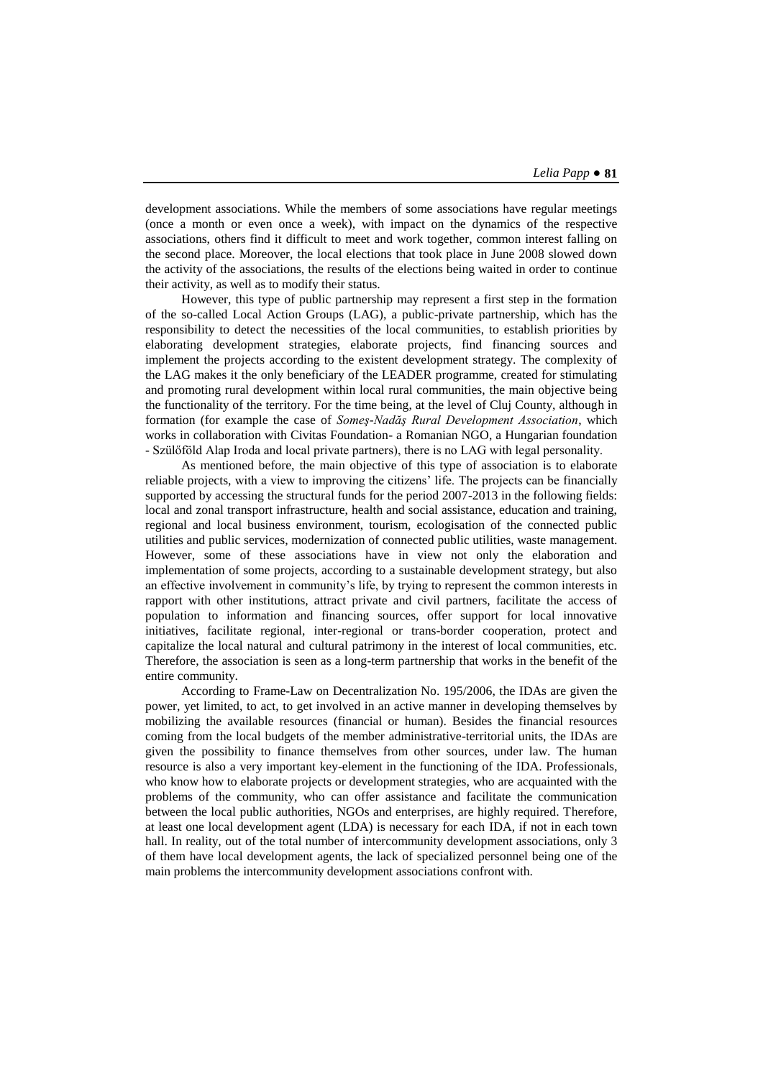development associations. While the members of some associations have regular meetings (once a month or even once a week), with impact on the dynamics of the respective associations, others find it difficult to meet and work together, common interest falling on the second place. Moreover, the local elections that took place in June 2008 slowed down the activity of the associations, the results of the elections being waited in order to continue their activity, as well as to modify their status.

However, this type of public partnership may represent a first step in the formation of the so-called Local Action Groups (LAG), a public-private partnership, which has the responsibility to detect the necessities of the local communities, to establish priorities by elaborating development strategies, elaborate projects, find financing sources and implement the projects according to the existent development strategy. The complexity of the LAG makes it the only beneficiary of the LEADER programme, created for stimulating and promoting rural development within local rural communities, the main objective being the functionality of the territory. For the time being, at the level of Cluj County, although in formation (for example the case of *Someş-Nadăş Rural Development Association*, which works in collaboration with Civitas Foundation- a Romanian NGO, a Hungarian foundation - Szülőföld Alap Iroda and local private partners), there is no LAG with legal personality.

As mentioned before, the main objective of this type of association is to elaborate reliable projects, with a view to improving the citizens' life. The projects can be financially supported by accessing the structural funds for the period 2007-2013 in the following fields: local and zonal transport infrastructure, health and social assistance, education and training, regional and local business environment, tourism, ecologisation of the connected public utilities and public services, modernization of connected public utilities, waste management. However, some of these associations have in view not only the elaboration and implementation of some projects, according to a sustainable development strategy, but also an effective involvement in community's life, by trying to represent the common interests in rapport with other institutions, attract private and civil partners, facilitate the access of population to information and financing sources, offer support for local innovative initiatives, facilitate regional, inter-regional or trans-border cooperation, protect and capitalize the local natural and cultural patrimony in the interest of local communities, etc. Therefore, the association is seen as a long-term partnership that works in the benefit of the entire community.

According to Frame-Law on Decentralization No. 195/2006, the IDAs are given the power, yet limited, to act, to get involved in an active manner in developing themselves by mobilizing the available resources (financial or human). Besides the financial resources coming from the local budgets of the member administrative-territorial units, the IDAs are given the possibility to finance themselves from other sources, under law. The human resource is also a very important key-element in the functioning of the IDA. Professionals, who know how to elaborate projects or development strategies, who are acquainted with the problems of the community, who can offer assistance and facilitate the communication between the local public authorities, NGOs and enterprises, are highly required. Therefore, at least one local development agent (LDA) is necessary for each IDA, if not in each town hall. In reality, out of the total number of intercommunity development associations, only 3 of them have local development agents, the lack of specialized personnel being one of the main problems the intercommunity development associations confront with.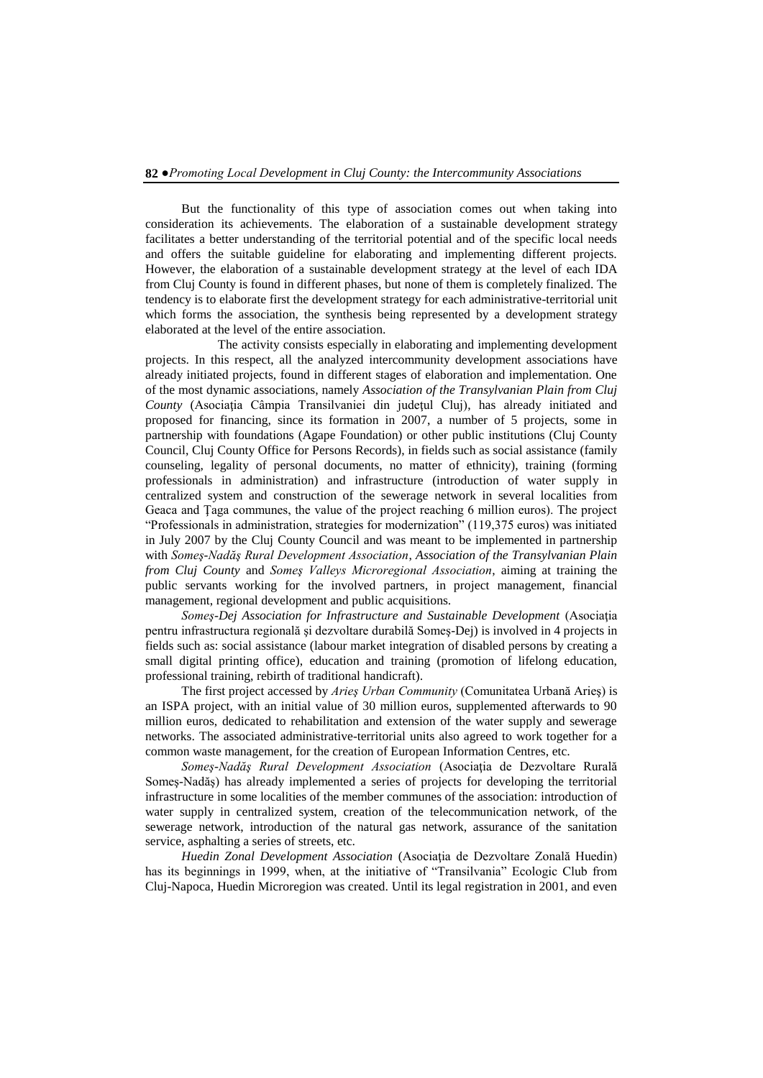But the functionality of this type of association comes out when taking into consideration its achievements. The elaboration of a sustainable development strategy facilitates a better understanding of the territorial potential and of the specific local needs and offers the suitable guideline for elaborating and implementing different projects. However, the elaboration of a sustainable development strategy at the level of each IDA from Cluj County is found in different phases, but none of them is completely finalized. The tendency is to elaborate first the development strategy for each administrative-territorial unit which forms the association, the synthesis being represented by a development strategy elaborated at the level of the entire association.

The activity consists especially in elaborating and implementing development projects. In this respect, all the analyzed intercommunity development associations have already initiated projects, found in different stages of elaboration and implementation. One of the most dynamic associations, namely *Association of the Transylvanian Plain from Cluj County* (Asociaţia Câmpia Transilvaniei din judeţul Cluj), has already initiated and proposed for financing, since its formation in 2007, a number of 5 projects, some in partnership with foundations (Agape Foundation) or other public institutions (Cluj County Council, Cluj County Office for Persons Records), in fields such as social assistance (family counseling, legality of personal documents, no matter of ethnicity), training (forming professionals in administration) and infrastructure (introduction of water supply in centralized system and construction of the sewerage network in several localities from Geaca and Ţaga communes, the value of the project reaching 6 million euros). The project "Professionals in administration, strategies for modernization" (119,375 euros) was initiated in July 2007 by the Cluj County Council and was meant to be implemented in partnership with *Someş-Nadăş Rural Development Association*, *Association of the Transylvanian Plain from Cluj County* and *Someş Valleys Microregional Association*, aiming at training the public servants working for the involved partners, in project management, financial management, regional development and public acquisitions.

*Someş-Dej Association for Infrastructure and Sustainable Development* (Asociaţia pentru infrastructura regională şi dezvoltare durabilă Someş-Dej) is involved in 4 projects in fields such as: social assistance (labour market integration of disabled persons by creating a small digital printing office), education and training (promotion of lifelong education, professional training, rebirth of traditional handicraft).

The first project accessed by *Arieş Urban Community* (Comunitatea Urbană Arieş) is an ISPA project, with an initial value of 30 million euros, supplemented afterwards to 90 million euros, dedicated to rehabilitation and extension of the water supply and sewerage networks. The associated administrative-territorial units also agreed to work together for a common waste management, for the creation of European Information Centres, etc.

*Someş-Nadăş Rural Development Association* (Asociaţia de Dezvoltare Rurală Someş-Nadăş) has already implemented a series of projects for developing the territorial infrastructure in some localities of the member communes of the association: introduction of water supply in centralized system, creation of the telecommunication network, of the sewerage network, introduction of the natural gas network, assurance of the sanitation service, asphalting a series of streets, etc.

*Huedin Zonal Development Association* (Asociaţia de Dezvoltare Zonală Huedin) has its beginnings in 1999, when, at the initiative of "Transilvania" Ecologic Club from Cluj-Napoca, Huedin Microregion was created. Until its legal registration in 2001, and even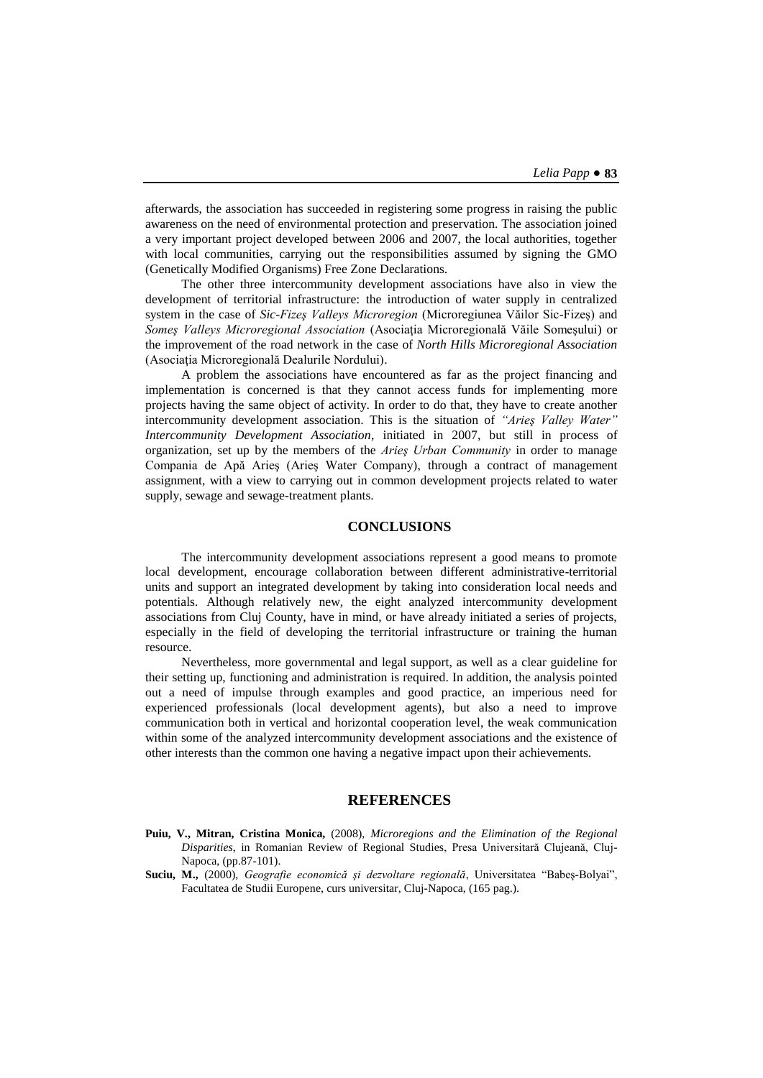afterwards, the association has succeeded in registering some progress in raising the public awareness on the need of environmental protection and preservation. The association joined a very important project developed between 2006 and 2007, the local authorities, together with local communities, carrying out the responsibilities assumed by signing the GMO (Genetically Modified Organisms) Free Zone Declarations.

The other three intercommunity development associations have also in view the development of territorial infrastructure: the introduction of water supply in centralized system in the case of *Sic-Fizeş Valleys Microregion* (Microregiunea Văilor Sic-Fizeş) and *Someş Valleys Microregional Association* (Asociaţia Microregională Văile Someşului) or the improvement of the road network in the case of *North Hills Microregional Association* (Asociaţia Microregională Dealurile Nordului).

A problem the associations have encountered as far as the project financing and implementation is concerned is that they cannot access funds for implementing more projects having the same object of activity. In order to do that, they have to create another intercommunity development association. This is the situation of *"Arieş Valley Water" Intercommunity Development Association*, initiated in 2007, but still in process of organization, set up by the members of the *Arieş Urban Community* in order to manage Compania de Apă Arieş (Arieş Water Company), through a contract of management assignment, with a view to carrying out in common development projects related to water supply, sewage and sewage-treatment plants.

## **CONCLUSIONS**

The intercommunity development associations represent a good means to promote local development, encourage collaboration between different administrative-territorial units and support an integrated development by taking into consideration local needs and potentials. Although relatively new, the eight analyzed intercommunity development associations from Cluj County, have in mind, or have already initiated a series of projects, especially in the field of developing the territorial infrastructure or training the human resource.

Nevertheless, more governmental and legal support, as well as a clear guideline for their setting up, functioning and administration is required. In addition, the analysis pointed out a need of impulse through examples and good practice, an imperious need for experienced professionals (local development agents), but also a need to improve communication both in vertical and horizontal cooperation level, the weak communication within some of the analyzed intercommunity development associations and the existence of other interests than the common one having a negative impact upon their achievements.

### **REFERENCES**

- **Puiu, V., Mitran, Cristina Monica,** (2008), *Microregions and the Elimination of the Regional Disparities*, in Romanian Review of Regional Studies, Presa Universitară Clujeană, Cluj-Napoca, (pp.87-101).
- **Suciu, M.,** (2000), *Geografie economică şi dezvoltare regională*, Universitatea "Babeş-Bolyai", Facultatea de Studii Europene, curs universitar, Cluj-Napoca, (165 pag.).